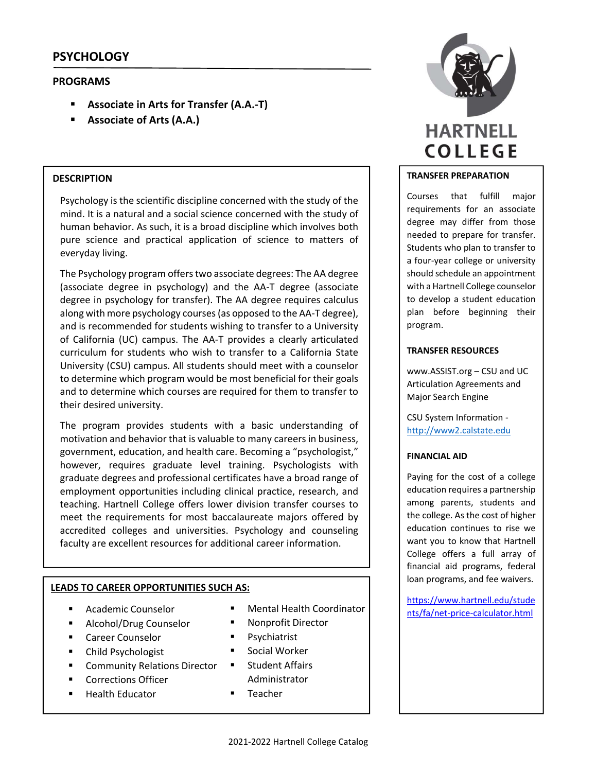# **PSYCHOLOGY**

## **PROGRAMS**

- **Associate in Arts for Transfer (A.A.‐T)**
- **Associate of Arts (A.A.)**

## **DESCRIPTION**

Psychology is the scientific discipline concerned with the study of the mind. It is a natural and a social science concerned with the study of human behavior. As such, it is a broad discipline which involves both pure science and practical application of science to matters of everyday living.

The Psychology program offerstwo associate degrees: The AA degree (associate degree in psychology) and the AA‐T degree (associate degree in psychology for transfer). The AA degree requires calculus along with more psychology courses(as opposed to the AA‐T degree), and is recommended for students wishing to transfer to a University of California (UC) campus. The AA‐T provides a clearly articulated curriculum for students who wish to transfer to a California State University (CSU) campus. All students should meet with a counselor to determine which program would be most beneficial for their goals and to determine which courses are required for them to transfer to their desired university.

The program provides students with a basic understanding of motivation and behavior that is valuable to many careers in business, government, education, and health care. Becoming a "psychologist," however, requires graduate level training. Psychologists with graduate degrees and professional certificates have a broad range of employment opportunities including clinical practice, research, and teaching. Hartnell College offers lower division transfer courses to meet the requirements for most baccalaureate majors offered by accredited colleges and universities. Psychology and counseling faculty are excellent resources for additional career information.

## **LEADS TO CAREER OPPORTUNITIES SUCH AS:**

- Academic Counselor
- **Alcohol/Drug Counselor**
- Career Counselor
- Child Psychologist
- Community Relations Director
- Corrections Officer
- Health Educator
- 
- Nonprofit Director
- **Psychiatrist**
- **Social Worker**
- **E** Student Affairs Administrator
- **Teacher**



## **TRANSFER PREPARATION**

Courses that fulfill major requirements for an associate degree may differ from those needed to prepare for transfer. Students who plan to transfer to a four‐year college or university should schedule an appointment with a Hartnell College counselor to develop a student education plan before beginning their program.

## **TRANSFER RESOURCES**

www.ASSIST.org – CSU and UC Articulation Agreements and Major Search Engine

CSU System Information ‐ http://www2.calstate.edu

## **FINANCIAL AID**

Paying for the cost of a college education requires a partnership among parents, students and the college. As the cost of higher education continues to rise we want you to know that Hartnell College offers a full array of financial aid programs, federal loan programs, and fee waivers.

https://www.hartnell.edu/stude ■ Mental Health Coordinator<br>■ Nonnrofit Director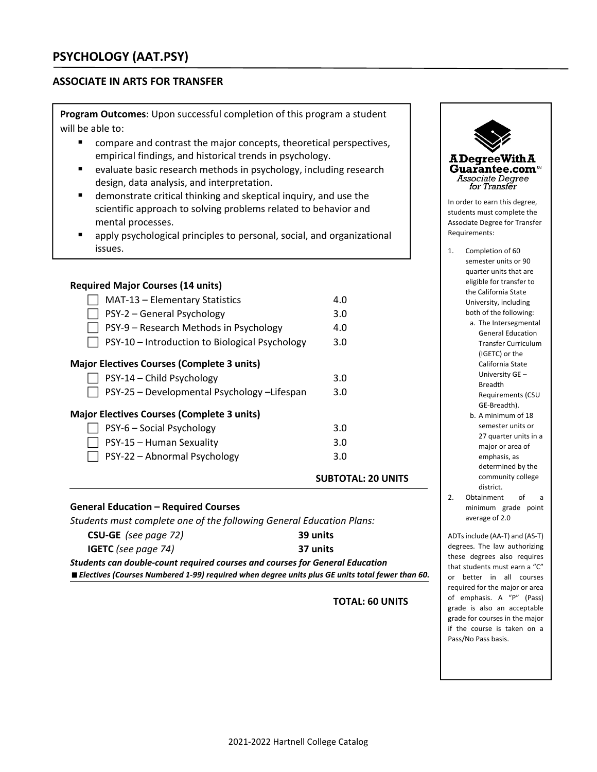## **ASSOCIATE IN ARTS FOR TRANSFER**

**Program Outcomes**: Upon successful completion of this program a student will be able to:

- compare and contrast the major concepts, theoretical perspectives, empirical findings, and historical trends in psychology.
- evaluate basic research methods in psychology, including research design, data analysis, and interpretation.
- demonstrate critical thinking and skeptical inquiry, and use the scientific approach to solving problems related to behavior and mental processes.
- apply psychological principles to personal, social, and organizational issues.

## **Required Major Courses (14 units)**

|                                                   |                                                | <b>SUBTOTAL: 20 UNITS</b> |  |  |  |
|---------------------------------------------------|------------------------------------------------|---------------------------|--|--|--|
|                                                   | PSY-22 - Abnormal Psychology                   | 3.0                       |  |  |  |
|                                                   | PSY-15 - Human Sexuality                       | 3.0                       |  |  |  |
|                                                   | PSY-6 - Social Psychology                      | 3.0                       |  |  |  |
| <b>Major Electives Courses (Complete 3 units)</b> |                                                |                           |  |  |  |
|                                                   | PSY-25 - Developmental Psychology -Lifespan    | 3.0                       |  |  |  |
|                                                   | PSY-14 - Child Psychology                      | 3.0                       |  |  |  |
| <b>Major Electives Courses (Complete 3 units)</b> |                                                |                           |  |  |  |
|                                                   | PSY-10 - Introduction to Biological Psychology | 3.0                       |  |  |  |
|                                                   | PSY-9 – Research Methods in Psychology         | 4.0                       |  |  |  |
|                                                   | PSY-2 - General Psychology                     | 3.0                       |  |  |  |
|                                                   | MAT-13 - Elementary Statistics                 | 4.0                       |  |  |  |
|                                                   |                                                |                           |  |  |  |

# **General Education – Required Courses**

| Students must complete one of the following General Education Plans:                |                                                                                                   |
|-------------------------------------------------------------------------------------|---------------------------------------------------------------------------------------------------|
| <b>CSU-GE</b> (see page 72)                                                         | 39 units                                                                                          |
| <b>IGETC</b> (see page 74)                                                          | 37 units                                                                                          |
| <b>Students can double-count required courses and courses for General Education</b> |                                                                                                   |
|                                                                                     | ■ Electives (Courses Numbered 1-99) required when degree units plus GE units total fewer than 60. |

## **TOTAL: 60 UNITS**



- a. The Intersegmental General Education Transfer Curriculum (IGETC) or the California State University GE – Breadth Requirements (CSU GE‐Breadth).
- b. A minimum of 18 semester units or 27 quarter units in a major or area of emphasis, as determined by the community college district.
- 2. Obtainment of a minimum grade point average of 2.0

ADTsinclude (AA‐T) and (AS‐T) degrees. The law authorizing these degrees also requires that students must earn a "C" or better in all courses required for the major or area of emphasis. A "P" (Pass) grade is also an acceptable grade for courses in the major if the course is taken on a Pass/No Pass basis.